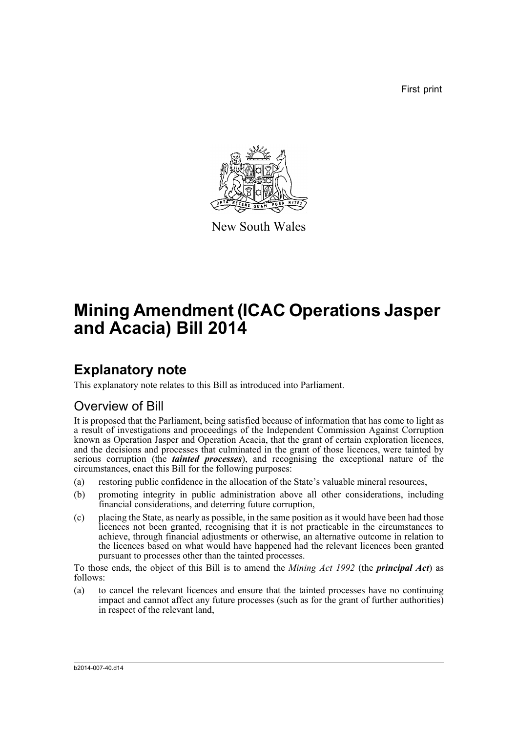First print



New South Wales

# **Mining Amendment (ICAC Operations Jasper and Acacia) Bill 2014**

## **Explanatory note**

This explanatory note relates to this Bill as introduced into Parliament.

### Overview of Bill

It is proposed that the Parliament, being satisfied because of information that has come to light as a result of investigations and proceedings of the Independent Commission Against Corruption known as Operation Jasper and Operation Acacia, that the grant of certain exploration licences, and the decisions and processes that culminated in the grant of those licences, were tainted by serious corruption (the *tainted processes*), and recognising the exceptional nature of the circumstances, enact this Bill for the following purposes:

- (a) restoring public confidence in the allocation of the State's valuable mineral resources,
- (b) promoting integrity in public administration above all other considerations, including financial considerations, and deterring future corruption,
- (c) placing the State, as nearly as possible, in the same position as it would have been had those licences not been granted, recognising that it is not practicable in the circumstances to achieve, through financial adjustments or otherwise, an alternative outcome in relation to the licences based on what would have happened had the relevant licences been granted pursuant to processes other than the tainted processes.

To those ends, the object of this Bill is to amend the *Mining Act 1992* (the *principal Act*) as follows:

(a) to cancel the relevant licences and ensure that the tainted processes have no continuing impact and cannot affect any future processes (such as for the grant of further authorities) in respect of the relevant land,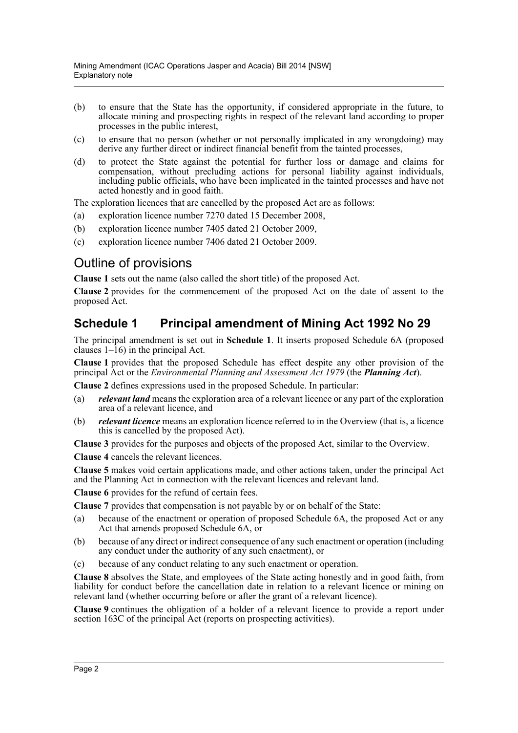- (b) to ensure that the State has the opportunity, if considered appropriate in the future, to allocate mining and prospecting rights in respect of the relevant land according to proper processes in the public interest,
- (c) to ensure that no person (whether or not personally implicated in any wrongdoing) may derive any further direct or indirect financial benefit from the tainted processes,
- (d) to protect the State against the potential for further loss or damage and claims for compensation, without precluding actions for personal liability against individuals, including public officials, who have been implicated in the tainted processes and have not acted honestly and in good faith.

The exploration licences that are cancelled by the proposed Act are as follows:

- (a) exploration licence number 7270 dated 15 December 2008,
- (b) exploration licence number 7405 dated 21 October 2009,
- (c) exploration licence number 7406 dated 21 October 2009.

### Outline of provisions

**Clause 1** sets out the name (also called the short title) of the proposed Act.

**Clause 2** provides for the commencement of the proposed Act on the date of assent to the proposed Act.

### **Schedule 1 Principal amendment of Mining Act 1992 No 29**

The principal amendment is set out in **Schedule 1**. It inserts proposed Schedule 6A (proposed clauses  $1-\hat{1}6$ ) in the principal Act.

**Clause 1** provides that the proposed Schedule has effect despite any other provision of the principal Act or the *Environmental Planning and Assessment Act 1979* (the *Planning Act*).

**Clause 2** defines expressions used in the proposed Schedule. In particular:

- (a) *relevant land* means the exploration area of a relevant licence or any part of the exploration area of a relevant licence, and
- (b) *relevant licence* means an exploration licence referred to in the Overview (that is, a licence this is cancelled by the proposed Act).

**Clause 3** provides for the purposes and objects of the proposed Act, similar to the Overview.

**Clause 4** cancels the relevant licences.

**Clause 5** makes void certain applications made, and other actions taken, under the principal Act and the Planning Act in connection with the relevant licences and relevant land.

**Clause 6** provides for the refund of certain fees.

**Clause 7** provides that compensation is not payable by or on behalf of the State:

- (a) because of the enactment or operation of proposed Schedule 6A, the proposed Act or any Act that amends proposed Schedule 6A, or
- (b) because of any direct or indirect consequence of any such enactment or operation (including any conduct under the authority of any such enactment), or
- (c) because of any conduct relating to any such enactment or operation.

**Clause 8** absolves the State, and employees of the State acting honestly and in good faith, from liability for conduct before the cancellation date in relation to a relevant licence or mining on relevant land (whether occurring before or after the grant of a relevant licence).

**Clause 9** continues the obligation of a holder of a relevant licence to provide a report under section 163C of the principal Act (reports on prospecting activities).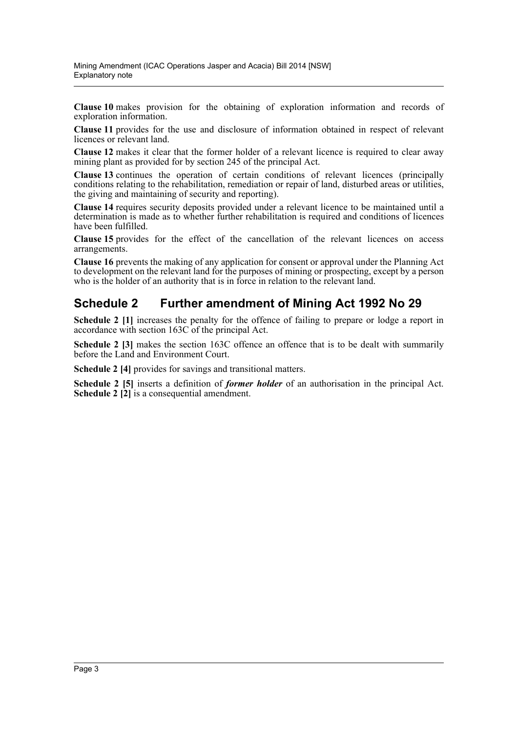**Clause 10** makes provision for the obtaining of exploration information and records of exploration information.

**Clause 11** provides for the use and disclosure of information obtained in respect of relevant licences or relevant land.

**Clause 12** makes it clear that the former holder of a relevant licence is required to clear away mining plant as provided for by section 245 of the principal Act.

**Clause 13** continues the operation of certain conditions of relevant licences (principally conditions relating to the rehabilitation, remediation or repair of land, disturbed areas or utilities, the giving and maintaining of security and reporting).

**Clause 14** requires security deposits provided under a relevant licence to be maintained until a determination is made as to whether further rehabilitation is required and conditions of licences have been fulfilled.

**Clause 15** provides for the effect of the cancellation of the relevant licences on access arrangements.

**Clause 16** prevents the making of any application for consent or approval under the Planning Act to development on the relevant land for the purposes of mining or prospecting, except by a person who is the holder of an authority that is in force in relation to the relevant land.

#### **Schedule 2 Further amendment of Mining Act 1992 No 29**

**Schedule 2 [1]** increases the penalty for the offence of failing to prepare or lodge a report in accordance with section 163C of the principal Act.

**Schedule 2 [3]** makes the section 163C offence an offence that is to be dealt with summarily before the Land and Environment Court.

**Schedule 2 [4]** provides for savings and transitional matters.

**Schedule 2 [5]** inserts a definition of *former holder* of an authorisation in the principal Act. **Schedule 2 [2]** is a consequential amendment.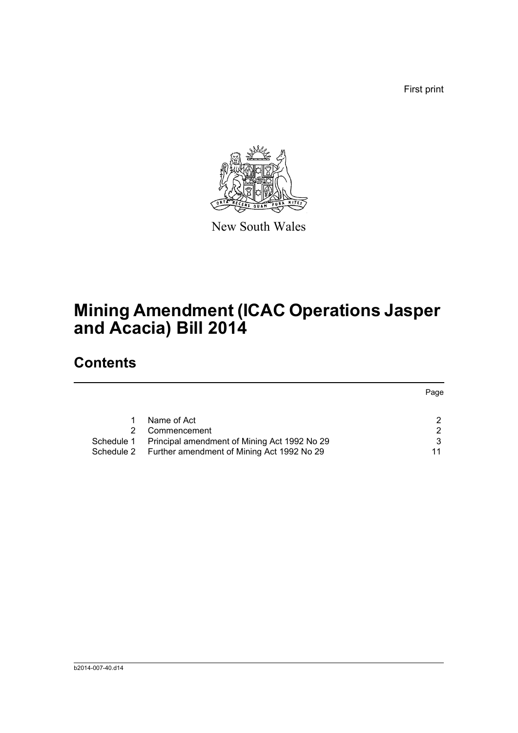First print



New South Wales

# **Mining Amendment (ICAC Operations Jasper and Acacia) Bill 2014**

## **Contents**

|            |                                                       | Page |
|------------|-------------------------------------------------------|------|
|            |                                                       |      |
|            | Name of Act                                           |      |
|            | Commencement                                          | ົ    |
| Schedule 1 | Principal amendment of Mining Act 1992 No 29          | ີ    |
|            | Schedule 2 Further amendment of Mining Act 1992 No 29 |      |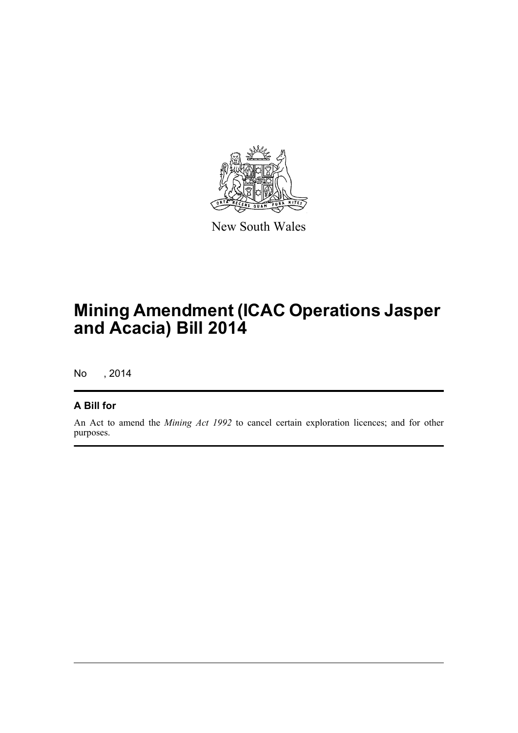

New South Wales

# **Mining Amendment (ICAC Operations Jasper and Acacia) Bill 2014**

No , 2014

#### **A Bill for**

An Act to amend the *Mining Act 1992* to cancel certain exploration licences; and for other purposes.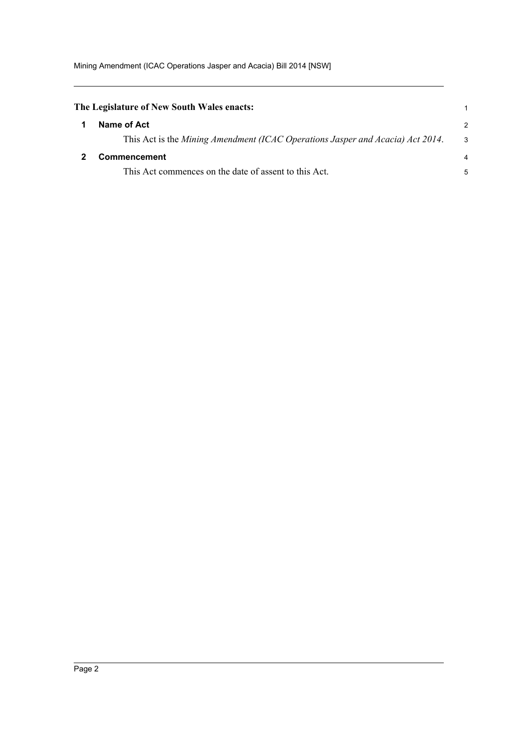<span id="page-5-1"></span><span id="page-5-0"></span>

| The Legislature of New South Wales enacts:                                     |    |
|--------------------------------------------------------------------------------|----|
| Name of Act                                                                    | 2  |
| This Act is the Mining Amendment (ICAC Operations Jasper and Acacia) Act 2014. | -3 |
| Commencement                                                                   | 4  |
| This Act commences on the date of assent to this Act.                          | 5  |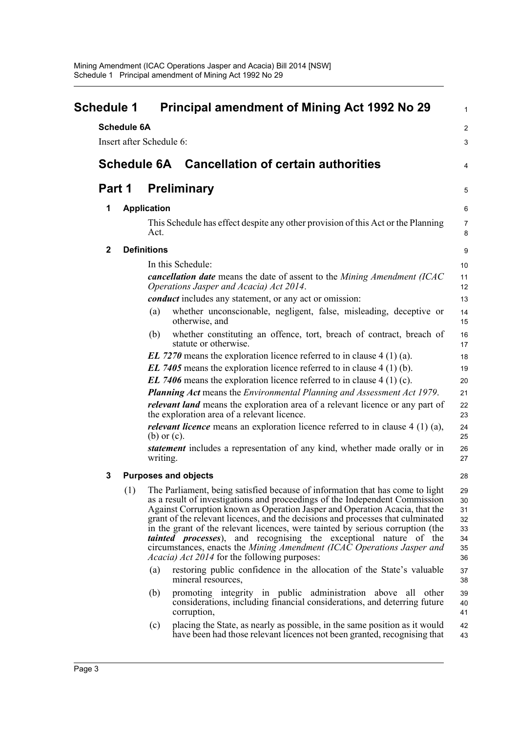<span id="page-6-0"></span>

| <b>Schedule 1</b> |                    | <b>Principal amendment of Mining Act 1992 No 29</b>                                                                                                                                                                                                                                                                                                                                                                                                                                                                                                                                                                            | 1                                            |
|-------------------|--------------------|--------------------------------------------------------------------------------------------------------------------------------------------------------------------------------------------------------------------------------------------------------------------------------------------------------------------------------------------------------------------------------------------------------------------------------------------------------------------------------------------------------------------------------------------------------------------------------------------------------------------------------|----------------------------------------------|
|                   | <b>Schedule 6A</b> |                                                                                                                                                                                                                                                                                                                                                                                                                                                                                                                                                                                                                                | $\overline{c}$                               |
|                   |                    | Insert after Schedule 6:                                                                                                                                                                                                                                                                                                                                                                                                                                                                                                                                                                                                       | 3                                            |
|                   |                    | <b>Schedule 6A</b> Cancellation of certain authorities                                                                                                                                                                                                                                                                                                                                                                                                                                                                                                                                                                         | 4                                            |
| Part 1            |                    | <b>Preliminary</b>                                                                                                                                                                                                                                                                                                                                                                                                                                                                                                                                                                                                             | 5                                            |
| 1                 |                    | <b>Application</b>                                                                                                                                                                                                                                                                                                                                                                                                                                                                                                                                                                                                             | 6                                            |
|                   |                    | This Schedule has effect despite any other provision of this Act or the Planning<br>Act.                                                                                                                                                                                                                                                                                                                                                                                                                                                                                                                                       | 7<br>8                                       |
| $\mathbf{2}$      |                    | <b>Definitions</b>                                                                                                                                                                                                                                                                                                                                                                                                                                                                                                                                                                                                             | 9                                            |
|                   |                    | In this Schedule:                                                                                                                                                                                                                                                                                                                                                                                                                                                                                                                                                                                                              | 10                                           |
|                   |                    | cancellation date means the date of assent to the Mining Amendment (ICAC<br>Operations Jasper and Acacia) Act 2014.                                                                                                                                                                                                                                                                                                                                                                                                                                                                                                            | 11<br>12                                     |
|                   |                    | <i>conduct</i> includes any statement, or any act or omission:                                                                                                                                                                                                                                                                                                                                                                                                                                                                                                                                                                 | 13                                           |
|                   |                    | whether unconscionable, negligent, false, misleading, deceptive or<br>(a)<br>otherwise, and                                                                                                                                                                                                                                                                                                                                                                                                                                                                                                                                    | 14<br>15                                     |
|                   |                    | whether constituting an offence, tort, breach of contract, breach of<br>(b)<br>statute or otherwise.                                                                                                                                                                                                                                                                                                                                                                                                                                                                                                                           | 16<br>17                                     |
|                   |                    | EL 7270 means the exploration licence referred to in clause $4(1)(a)$ .                                                                                                                                                                                                                                                                                                                                                                                                                                                                                                                                                        | 18                                           |
|                   |                    | EL 7405 means the exploration licence referred to in clause $4(1)(b)$ .                                                                                                                                                                                                                                                                                                                                                                                                                                                                                                                                                        | 19                                           |
|                   |                    | EL 7406 means the exploration licence referred to in clause $4(1)(c)$ .                                                                                                                                                                                                                                                                                                                                                                                                                                                                                                                                                        | 20                                           |
|                   |                    | <b>Planning Act</b> means the Environmental Planning and Assessment Act 1979.                                                                                                                                                                                                                                                                                                                                                                                                                                                                                                                                                  | 21                                           |
|                   |                    | <i>relevant land</i> means the exploration area of a relevant licence or any part of<br>the exploration area of a relevant licence.                                                                                                                                                                                                                                                                                                                                                                                                                                                                                            | 22<br>23                                     |
|                   |                    | <i>relevant licence</i> means an exploration licence referred to in clause $4(1)(a)$ ,<br>$(b)$ or $(c)$ .                                                                                                                                                                                                                                                                                                                                                                                                                                                                                                                     | 24<br>25                                     |
|                   |                    | statement includes a representation of any kind, whether made orally or in<br>writing.                                                                                                                                                                                                                                                                                                                                                                                                                                                                                                                                         | 26<br>27                                     |
| 3                 |                    | <b>Purposes and objects</b>                                                                                                                                                                                                                                                                                                                                                                                                                                                                                                                                                                                                    | 28                                           |
|                   | (1)                | The Parliament, being satisfied because of information that has come to light<br>as a result of investigations and proceedings of the Independent Commission<br>Against Corruption known as Operation Jasper and Operation Acacia, that the<br>grant of the relevant licences, and the decisions and processes that culminated<br>in the grant of the relevant licences, were tainted by serious corruption (the<br><i>tainted processes</i> ), and recognising the exceptional nature of the<br>circumstances, enacts the Mining Amendment (ICAC Operations Jasper and<br><i>Acacia) Act 2014</i> for the following purposes: | 29<br>30<br>31<br>32<br>33<br>34<br>35<br>36 |
|                   |                    | restoring public confidence in the allocation of the State's valuable<br>(a)<br>mineral resources,                                                                                                                                                                                                                                                                                                                                                                                                                                                                                                                             | 37<br>38                                     |
|                   |                    | promoting integrity in public administration above all<br>(b)<br>other<br>considerations, including financial considerations, and deterring future<br>corruption,                                                                                                                                                                                                                                                                                                                                                                                                                                                              | 39<br>40<br>41                               |
|                   |                    | placing the State, as nearly as possible, in the same position as it would<br>(c)<br>have been had those relevant licences not been granted, recognising that                                                                                                                                                                                                                                                                                                                                                                                                                                                                  | 42<br>43                                     |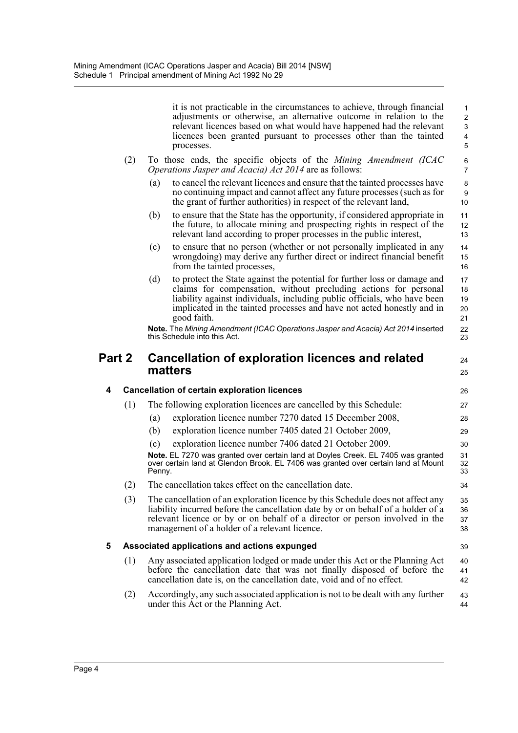|        |     |        | it is not practicable in the circumstances to achieve, through financial<br>adjustments or otherwise, an alternative outcome in relation to the<br>relevant licences based on what would have happened had the relevant<br>licences been granted pursuant to processes other than the tainted<br>processes.        | $\mathbf{1}$<br>$\overline{2}$<br>3<br>4<br>5 |  |  |
|--------|-----|--------|--------------------------------------------------------------------------------------------------------------------------------------------------------------------------------------------------------------------------------------------------------------------------------------------------------------------|-----------------------------------------------|--|--|
| (2)    |     |        | To those ends, the specific objects of the Mining Amendment (ICAC<br><i>Operations Jasper and Acacia) Act 2014</i> are as follows:                                                                                                                                                                                 | 6<br>$\overline{7}$                           |  |  |
|        |     | (a)    | to cancel the relevant licences and ensure that the tainted processes have<br>no continuing impact and cannot affect any future processes (such as for<br>the grant of further authorities) in respect of the relevant land,                                                                                       | 8<br>9<br>10 <sup>10</sup>                    |  |  |
|        |     | (b)    | to ensure that the State has the opportunity, if considered appropriate in<br>the future, to allocate mining and prospecting rights in respect of the<br>relevant land according to proper processes in the public interest,                                                                                       | 11<br>12<br>13                                |  |  |
|        |     | (c)    | to ensure that no person (whether or not personally implicated in any<br>wrongdoing) may derive any further direct or indirect financial benefit<br>from the tainted processes,                                                                                                                                    | 14<br>15<br>16                                |  |  |
|        |     | (d)    | to protect the State against the potential for further loss or damage and<br>claims for compensation, without precluding actions for personal<br>liability against individuals, including public officials, who have been<br>implicated in the tainted processes and have not acted honestly and in<br>good faith. | 17<br>18<br>19<br>20<br>21                    |  |  |
|        |     |        | Note. The Mining Amendment (ICAC Operations Jasper and Acacia) Act 2014 inserted<br>this Schedule into this Act.                                                                                                                                                                                                   | 22<br>23                                      |  |  |
| Part 2 |     |        | Cancellation of exploration licences and related                                                                                                                                                                                                                                                                   |                                               |  |  |
|        |     |        | matters                                                                                                                                                                                                                                                                                                            | 25                                            |  |  |
| 4      |     |        | <b>Cancellation of certain exploration licences</b>                                                                                                                                                                                                                                                                | 26                                            |  |  |
|        | (1) |        | The following exploration licences are cancelled by this Schedule:                                                                                                                                                                                                                                                 | 27                                            |  |  |
|        |     | (a)    | exploration licence number 7270 dated 15 December 2008,                                                                                                                                                                                                                                                            | 28                                            |  |  |
|        |     | (b)    | exploration licence number 7405 dated 21 October 2009,                                                                                                                                                                                                                                                             | 29                                            |  |  |
|        |     | (c)    | exploration licence number 7406 dated 21 October 2009.                                                                                                                                                                                                                                                             | 30                                            |  |  |
|        |     | Penny. | Note. EL 7270 was granted over certain land at Doyles Creek. EL 7405 was granted<br>over certain land at Glendon Brook. EL 7406 was granted over certain land at Mount                                                                                                                                             | 31<br>32<br>33                                |  |  |
|        | (2) |        |                                                                                                                                                                                                                                                                                                                    | 34                                            |  |  |
|        |     |        | The cancellation takes effect on the cancellation date                                                                                                                                                                                                                                                             |                                               |  |  |
|        | (3) |        | The cancellation of an exploration licence by this Schedule does not affect any<br>liability incurred before the cancellation date by or on behalf of a holder of a<br>relevant licence or by or on behalf of a director or person involved in the<br>management of a holder of a relevant licence.                | 35<br>36<br>37<br>38                          |  |  |
| 5      |     |        | Associated applications and actions expunged                                                                                                                                                                                                                                                                       |                                               |  |  |
|        | (1) |        | Any associated application lodged or made under this Act or the Planning Act<br>before the cancellation date that was not finally disposed of before the<br>cancellation date is, on the cancellation date, void and of no effect.                                                                                 | 39<br>40<br>41<br>42                          |  |  |
|        | (2) |        | Accordingly, any such associated application is not to be dealt with any further<br>under this Act or the Planning Act.                                                                                                                                                                                            | 43<br>44                                      |  |  |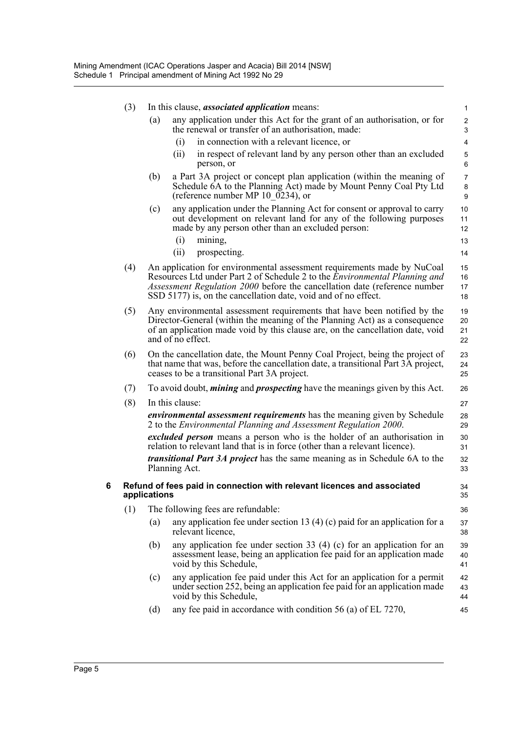|   | (3) |              | In this clause, <i>associated application</i> means:                                                                                                                                                                                                                                                        | 1                            |
|---|-----|--------------|-------------------------------------------------------------------------------------------------------------------------------------------------------------------------------------------------------------------------------------------------------------------------------------------------------------|------------------------------|
|   |     | (a)          | any application under this Act for the grant of an authorisation, or for<br>the renewal or transfer of an authorisation, made:                                                                                                                                                                              | $\overline{\mathbf{c}}$<br>3 |
|   |     |              | in connection with a relevant licence, or<br>(i)                                                                                                                                                                                                                                                            | 4                            |
|   |     |              | (ii)<br>in respect of relevant land by any person other than an excluded<br>person, or                                                                                                                                                                                                                      | 5<br>6                       |
|   |     | (b)          | a Part 3A project or concept plan application (within the meaning of<br>Schedule 6A to the Planning Act) made by Mount Penny Coal Pty Ltd<br>(reference number MP 10 $\overline{0234}$ ), or                                                                                                                | 7<br>8<br>9                  |
|   |     | (c)          | any application under the Planning Act for consent or approval to carry<br>out development on relevant land for any of the following purposes<br>made by any person other than an excluded person:                                                                                                          | 10<br>11<br>12               |
|   |     |              | (i)<br>mining,                                                                                                                                                                                                                                                                                              | 13                           |
|   |     |              | (ii)<br>prospecting.                                                                                                                                                                                                                                                                                        | 14                           |
|   | (4) |              | An application for environmental assessment requirements made by NuCoal<br>Resources Ltd under Part 2 of Schedule 2 to the <i>Environmental Planning and</i><br>Assessment Regulation 2000 before the cancellation date (reference number<br>SSD 5177) is, on the cancellation date, void and of no effect. | 15<br>16<br>17<br>18         |
|   | (5) |              | Any environmental assessment requirements that have been notified by the<br>Director-General (within the meaning of the Planning Act) as a consequence<br>of an application made void by this clause are, on the cancellation date, void<br>and of no effect.                                               | 19<br>20<br>21<br>22         |
|   | (6) |              | On the cancellation date, the Mount Penny Coal Project, being the project of<br>that name that was, before the cancellation date, a transitional Part 3A project,<br>ceases to be a transitional Part 3A project.                                                                                           | 23<br>24<br>25               |
|   | (7) |              | To avoid doubt, <i>mining</i> and <i>prospecting</i> have the meanings given by this Act.                                                                                                                                                                                                                   | 26                           |
|   | (8) |              | In this clause:                                                                                                                                                                                                                                                                                             | 27                           |
|   |     |              | <i>environmental assessment requirements</i> has the meaning given by Schedule<br>2 to the Environmental Planning and Assessment Regulation 2000.                                                                                                                                                           | 28<br>29                     |
|   |     |              | excluded person means a person who is the holder of an authorisation in<br>relation to relevant land that is in force (other than a relevant licence).                                                                                                                                                      | 30<br>31                     |
|   |     |              | <i>transitional Part 3A project</i> has the same meaning as in Schedule 6A to the<br>Planning Act.                                                                                                                                                                                                          | 32<br>33                     |
| 6 |     | applications | Refund of fees paid in connection with relevant licences and associated                                                                                                                                                                                                                                     | 34<br>35                     |
|   | (1) |              | The following fees are refundable:                                                                                                                                                                                                                                                                          | 36                           |
|   |     | (a)          | any application fee under section 13 (4) (c) paid for an application for a<br>relevant licence,                                                                                                                                                                                                             | 37<br>38                     |
|   |     | (b)          | any application fee under section 33 $(4)$ (c) for an application for an<br>assessment lease, being an application fee paid for an application made<br>void by this Schedule,                                                                                                                               | 39<br>40<br>41               |
|   |     | (c)          | any application fee paid under this Act for an application for a permit<br>under section 252, being an application fee paid for an application made<br>void by this Schedule,                                                                                                                               | 42<br>43<br>44               |
|   |     | (d)          | any fee paid in accordance with condition 56 (a) of EL 7270,                                                                                                                                                                                                                                                | 45                           |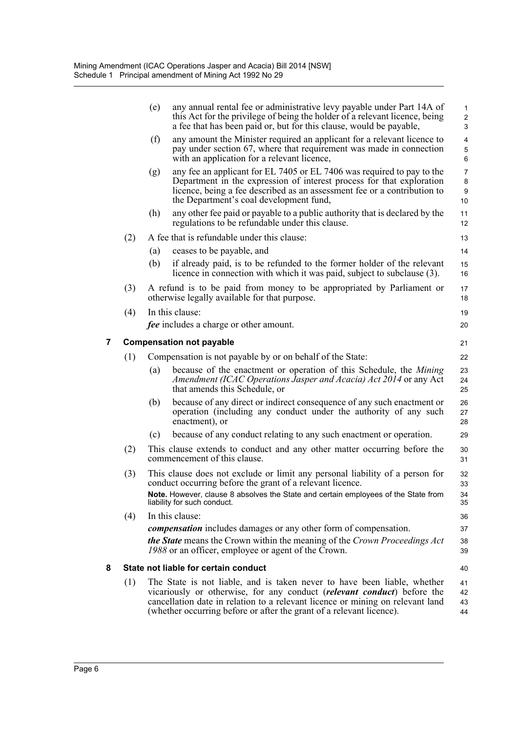|   |     | (e) | any annual rental fee or administrative levy payable under Part 14A of<br>this Act for the privilege of being the holder of a relevant licence, being<br>a fee that has been paid or, but for this clause, would be payable,                                                                                           | $\mathbf{1}$<br>$\overline{c}$<br>3 |
|---|-----|-----|------------------------------------------------------------------------------------------------------------------------------------------------------------------------------------------------------------------------------------------------------------------------------------------------------------------------|-------------------------------------|
|   |     | (f) | any amount the Minister required an applicant for a relevant licence to<br>pay under section 67, where that requirement was made in connection<br>with an application for a relevant licence,                                                                                                                          | $\overline{4}$<br>5<br>$\,6\,$      |
|   |     | (g) | any fee an applicant for EL 7405 or EL 7406 was required to pay to the<br>Department in the expression of interest process for that exploration<br>licence, being a fee described as an assessment fee or a contribution to<br>the Department's coal development fund,                                                 | $\overline{7}$<br>8<br>9<br>10      |
|   |     | (h) | any other fee paid or payable to a public authority that is declared by the<br>regulations to be refundable under this clause.                                                                                                                                                                                         | 11<br>12                            |
|   | (2) |     | A fee that is refundable under this clause:                                                                                                                                                                                                                                                                            | 13                                  |
|   |     | (a) | ceases to be payable, and                                                                                                                                                                                                                                                                                              | 14                                  |
|   |     | (b) | if already paid, is to be refunded to the former holder of the relevant<br>licence in connection with which it was paid, subject to subclause (3).                                                                                                                                                                     | 15<br>16                            |
|   | (3) |     | A refund is to be paid from money to be appropriated by Parliament or<br>otherwise legally available for that purpose.                                                                                                                                                                                                 | 17<br>18                            |
|   | (4) |     | In this clause:                                                                                                                                                                                                                                                                                                        | 19                                  |
|   |     |     | <i>fee</i> includes a charge or other amount.                                                                                                                                                                                                                                                                          | 20                                  |
| 7 |     |     | <b>Compensation not payable</b>                                                                                                                                                                                                                                                                                        | 21                                  |
|   | (1) |     | Compensation is not payable by or on behalf of the State:                                                                                                                                                                                                                                                              | 22                                  |
|   |     | (a) | because of the enactment or operation of this Schedule, the <i>Mining</i><br>Amendment (ICAC Operations Jasper and Acacia) Act 2014 or any Act<br>that amends this Schedule, or                                                                                                                                        | 23<br>24<br>25                      |
|   |     | (b) | because of any direct or indirect consequence of any such enactment or<br>operation (including any conduct under the authority of any such<br>enactment), or                                                                                                                                                           | 26<br>27<br>28                      |
|   |     | (c) | because of any conduct relating to any such enactment or operation.                                                                                                                                                                                                                                                    | 29                                  |
|   | (2) |     | This clause extends to conduct and any other matter occurring before the<br>commencement of this clause.                                                                                                                                                                                                               | 30<br>31                            |
|   | (3) |     | This clause does not exclude or limit any personal liability of a person for<br>conduct occurring before the grant of a relevant licence.<br>Note. However, clause 8 absolves the State and certain employees of the State from<br>liability for such conduct.                                                         | 32<br>33<br>34<br>35                |
|   | (4) |     | In this clause:                                                                                                                                                                                                                                                                                                        | 36                                  |
|   |     |     | <i>compensation</i> includes damages or any other form of compensation.                                                                                                                                                                                                                                                | 37                                  |
|   |     |     | <b>the State</b> means the Crown within the meaning of the Crown Proceedings Act<br>1988 or an officer, employee or agent of the Crown.                                                                                                                                                                                | 38<br>39                            |
| 8 |     |     | State not liable for certain conduct                                                                                                                                                                                                                                                                                   | 40                                  |
|   | (1) |     | The State is not liable, and is taken never to have been liable, whether<br>vicariously or otherwise, for any conduct ( <i>relevant conduct</i> ) before the<br>cancellation date in relation to a relevant licence or mining on relevant land<br>(whether occurring before or after the grant of a relevant licence). | 41<br>42<br>43<br>44                |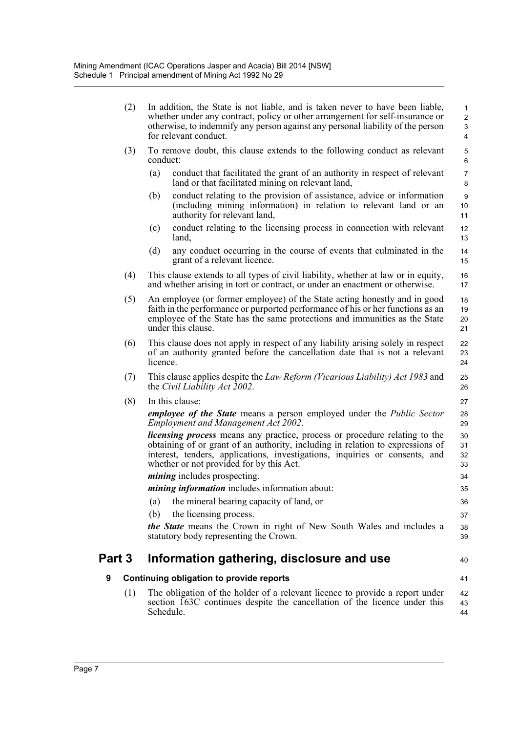|        | (2) | In addition, the State is not liable, and is taken never to have been liable,<br>whether under any contract, policy or other arrangement for self-insurance or<br>otherwise, to indemnify any person against any personal liability of the person<br>for relevant conduct.                     | $\mathbf{1}$<br>$\overline{2}$<br>3<br>4 |
|--------|-----|------------------------------------------------------------------------------------------------------------------------------------------------------------------------------------------------------------------------------------------------------------------------------------------------|------------------------------------------|
|        | (3) | To remove doubt, this clause extends to the following conduct as relevant<br>conduct:                                                                                                                                                                                                          | 5<br>6                                   |
|        |     | (a)<br>conduct that facilitated the grant of an authority in respect of relevant<br>land or that facilitated mining on relevant land,                                                                                                                                                          | $\overline{7}$<br>8                      |
|        |     | conduct relating to the provision of assistance, advice or information<br>(b)<br>(including mining information) in relation to relevant land or an<br>authority for relevant land,                                                                                                             | 9<br>10<br>11                            |
|        |     | conduct relating to the licensing process in connection with relevant<br>(c)<br>land,                                                                                                                                                                                                          | 12<br>13                                 |
|        |     | (d)<br>any conduct occurring in the course of events that culminated in the<br>grant of a relevant licence.                                                                                                                                                                                    | 14<br>15                                 |
|        | (4) | This clause extends to all types of civil liability, whether at law or in equity,<br>and whether arising in tort or contract, or under an enactment or otherwise.                                                                                                                              | 16<br>17                                 |
|        | (5) | An employee (or former employee) of the State acting honestly and in good<br>faith in the performance or purported performance of his or her functions as an<br>employee of the State has the same protections and immunities as the State<br>under this clause.                               | 18<br>19<br>20<br>21                     |
|        | (6) | This clause does not apply in respect of any liability arising solely in respect<br>of an authority granted before the cancellation date that is not a relevant<br>licence.                                                                                                                    | 22<br>23<br>24                           |
|        | (7) | This clause applies despite the <i>Law Reform (Vicarious Liability) Act 1983</i> and<br>the Civil Liability Act 2002.                                                                                                                                                                          | 25<br>26                                 |
|        | (8) | In this clause:                                                                                                                                                                                                                                                                                | 27                                       |
|        |     | <i>employee of the State</i> means a person employed under the <i>Public Sector</i><br><b>Employment and Management Act 2002.</b>                                                                                                                                                              | 28<br>29                                 |
|        |     | <i>licensing process</i> means any practice, process or procedure relating to the<br>obtaining of or grant of an authority, including in relation to expressions of<br>interest, tenders, applications, investigations, inquiries or consents, and<br>whether or not provided for by this Act. | 30<br>31<br>32<br>33                     |
|        |     | <i>mining</i> includes prospecting.                                                                                                                                                                                                                                                            | 34                                       |
|        |     | <i>mining information</i> includes information about:                                                                                                                                                                                                                                          | 35                                       |
|        |     | the mineral bearing capacity of land, or<br>(a)                                                                                                                                                                                                                                                | 36                                       |
|        |     | the licensing process.<br>(b)                                                                                                                                                                                                                                                                  | 37                                       |
|        |     | <i>the State</i> means the Crown in right of New South Wales and includes a<br>statutory body representing the Crown.                                                                                                                                                                          | 38<br>39                                 |
| Part 3 |     | Information gathering, disclosure and use                                                                                                                                                                                                                                                      | 40                                       |
| 9      |     | Continuing obligation to provide reports                                                                                                                                                                                                                                                       | 41                                       |
|        | (1) | The obligation of the holder of a relevant licence to provide a report under<br>section 163C continues despite the cancellation of the licence under this<br>Schedule.                                                                                                                         | 42<br>43<br>44                           |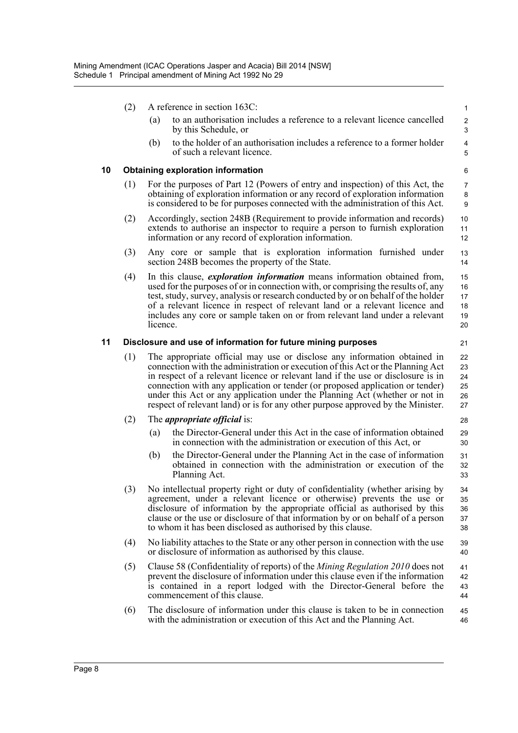- (2) A reference in section 163C:
	- (a) to an authorisation includes a reference to a relevant licence cancelled by this Schedule, or

21

(b) to the holder of an authorisation includes a reference to a former holder of such a relevant licence.

#### **10 Obtaining exploration information**

- (1) For the purposes of Part 12 (Powers of entry and inspection) of this Act, the obtaining of exploration information or any record of exploration information is considered to be for purposes connected with the administration of this Act.
- (2) Accordingly, section 248B (Requirement to provide information and records) extends to authorise an inspector to require a person to furnish exploration information or any record of exploration information.
- (3) Any core or sample that is exploration information furnished under section 248B becomes the property of the State. 13 14
- (4) In this clause, *exploration information* means information obtained from, used for the purposes of or in connection with, or comprising the results of, any test, study, survey, analysis or research conducted by or on behalf of the holder of a relevant licence in respect of relevant land or a relevant licence and includes any core or sample taken on or from relevant land under a relevant licence. 15 16 17 18 19 20

#### **11 Disclosure and use of information for future mining purposes**

(1) The appropriate official may use or disclose any information obtained in connection with the administration or execution of this Act or the Planning Act in respect of a relevant licence or relevant land if the use or disclosure is in connection with any application or tender (or proposed application or tender) under this Act or any application under the Planning Act (whether or not in respect of relevant land) or is for any other purpose approved by the Minister. 22 23 24 25 26 27

#### (2) The *appropriate official* is:

- (a) the Director-General under this Act in the case of information obtained in connection with the administration or execution of this Act, or
- (b) the Director-General under the Planning Act in the case of information obtained in connection with the administration or execution of the Planning Act.
- (3) No intellectual property right or duty of confidentiality (whether arising by agreement, under a relevant licence or otherwise) prevents the use or disclosure of information by the appropriate official as authorised by this clause or the use or disclosure of that information by or on behalf of a person to whom it has been disclosed as authorised by this clause. 34 35 36 37 38
- (4) No liability attaches to the State or any other person in connection with the use or disclosure of information as authorised by this clause. 39 40
- (5) Clause 58 (Confidentiality of reports) of the *Mining Regulation 2010* does not prevent the disclosure of information under this clause even if the information is contained in a report lodged with the Director-General before the commencement of this clause. 41 42 43 44
- (6) The disclosure of information under this clause is taken to be in connection with the administration or execution of this Act and the Planning Act. 45 46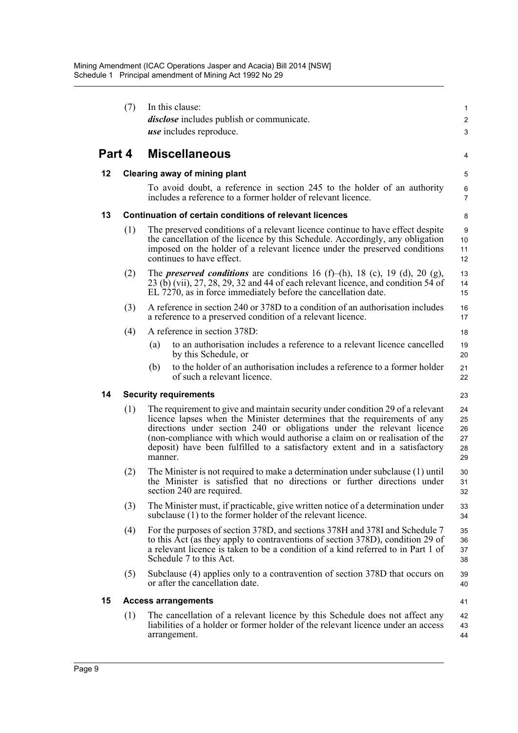|        | (7) |                               | In this clause:                                                                                                                                                                                                                                                                                                                                                                                    | $\mathbf{1}$                     |
|--------|-----|-------------------------------|----------------------------------------------------------------------------------------------------------------------------------------------------------------------------------------------------------------------------------------------------------------------------------------------------------------------------------------------------------------------------------------------------|----------------------------------|
|        |     |                               | <i>disclose</i> includes publish or communicate.<br><i>use</i> includes reproduce.                                                                                                                                                                                                                                                                                                                 | $\overline{2}$<br>3              |
| Part 4 |     |                               | <b>Miscellaneous</b>                                                                                                                                                                                                                                                                                                                                                                               | 4                                |
| 12     |     | Clearing away of mining plant |                                                                                                                                                                                                                                                                                                                                                                                                    |                                  |
|        |     |                               | To avoid doubt, a reference in section 245 to the holder of an authority<br>includes a reference to a former holder of relevant licence.                                                                                                                                                                                                                                                           | 6<br>$\overline{7}$              |
| 13     |     |                               | Continuation of certain conditions of relevant licences                                                                                                                                                                                                                                                                                                                                            | 8                                |
|        | (1) |                               | The preserved conditions of a relevant licence continue to have effect despite<br>the cancellation of the licence by this Schedule. Accordingly, any obligation<br>imposed on the holder of a relevant licence under the preserved conditions<br>continues to have effect.                                                                                                                         | 9<br>10<br>11<br>12              |
|        | (2) |                               | The <i>preserved conditions</i> are conditions 16 (f)–(h), 18 (c), 19 (d), 20 (g),<br>$23$ (b) (vii), $27$ , $28$ , $29$ , $32$ and 44 of each relevant licence, and condition 54 of<br>EL 7270, as in force immediately before the cancellation date.                                                                                                                                             | 13<br>14<br>15                   |
|        | (3) |                               | A reference in section 240 or 378D to a condition of an authorisation includes<br>a reference to a preserved condition of a relevant licence.                                                                                                                                                                                                                                                      | 16<br>17                         |
|        | (4) |                               | A reference in section 378D:                                                                                                                                                                                                                                                                                                                                                                       | 18                               |
|        |     | (a)                           | to an authorisation includes a reference to a relevant licence cancelled<br>by this Schedule, or                                                                                                                                                                                                                                                                                                   | 19<br>20                         |
|        |     | (b)                           | to the holder of an authorisation includes a reference to a former holder<br>of such a relevant licence.                                                                                                                                                                                                                                                                                           | 21<br>22                         |
| 14     |     |                               | <b>Security requirements</b>                                                                                                                                                                                                                                                                                                                                                                       | 23                               |
|        | (1) | manner.                       | The requirement to give and maintain security under condition 29 of a relevant<br>licence lapses when the Minister determines that the requirements of any<br>directions under section 240 or obligations under the relevant licence<br>(non-compliance with which would authorise a claim on or realisation of the<br>deposit) have been fulfilled to a satisfactory extent and in a satisfactory | 24<br>25<br>26<br>27<br>28<br>29 |
|        | (2) |                               | The Minister is not required to make a determination under subclause (1) until<br>the Minister is satisfied that no directions or further directions under<br>section 240 are required.                                                                                                                                                                                                            | 30<br>31<br>32                   |
|        | (3) |                               | The Minister must, if practicable, give written notice of a determination under<br>subclause (1) to the former holder of the relevant licence.                                                                                                                                                                                                                                                     | 33<br>34                         |
|        | (4) |                               | For the purposes of section 378D, and sections 378H and 378I and Schedule 7<br>to this Act (as they apply to contraventions of section 378D), condition 29 of<br>a relevant licence is taken to be a condition of a kind referred to in Part 1 of<br>Schedule 7 to this Act.                                                                                                                       | 35<br>36<br>37<br>38             |
|        | (5) |                               | Subclause (4) applies only to a contravention of section 378D that occurs on<br>or after the cancellation date.                                                                                                                                                                                                                                                                                    | 39<br>40                         |
| 15     |     |                               | <b>Access arrangements</b>                                                                                                                                                                                                                                                                                                                                                                         | 41                               |
|        | (1) |                               | The cancellation of a relevant licence by this Schedule does not affect any<br>liabilities of a holder or former holder of the relevant licence under an access<br>arrangement.                                                                                                                                                                                                                    | 42<br>43<br>44                   |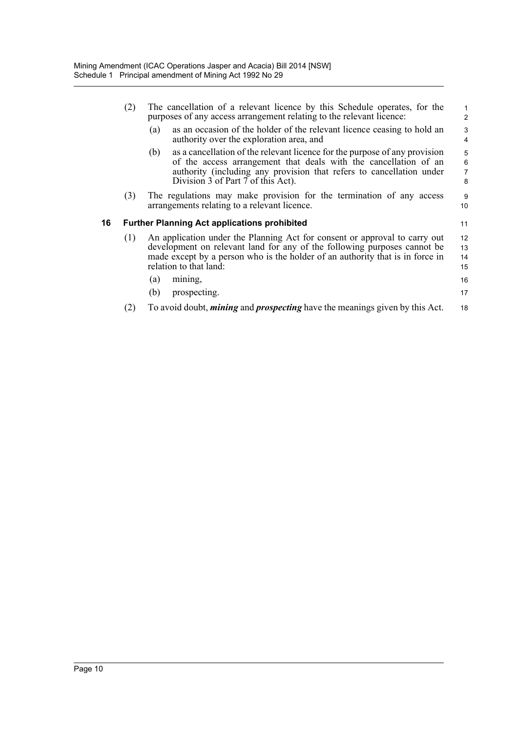|    | (2) | The cancellation of a relevant licence by this Schedule operates, for the<br>purposes of any access arrangement relating to the relevant licence:                                                                                                                   |                               |  |
|----|-----|---------------------------------------------------------------------------------------------------------------------------------------------------------------------------------------------------------------------------------------------------------------------|-------------------------------|--|
|    |     | as an occasion of the holder of the relevant licence ceasing to hold an<br>(a)<br>authority over the exploration area, and                                                                                                                                          | 3<br>$\overline{4}$           |  |
|    |     | as a cancellation of the relevant licence for the purpose of any provision<br>(b)<br>of the access arrangement that deals with the cancellation of an<br>authority (including any provision that refers to cancellation under<br>Division 3 of Part 7 of this Act). | 5<br>6<br>$\overline{7}$<br>8 |  |
|    | (3) | The regulations may make provision for the termination of any access<br>arrangements relating to a relevant licence.                                                                                                                                                | 9<br>10                       |  |
| 16 |     | <b>Further Planning Act applications prohibited</b>                                                                                                                                                                                                                 | 11                            |  |
|    | (1) | An application under the Planning Act for consent or approval to carry out<br>development on relevant land for any of the following purposes cannot be<br>made except by a person who is the holder of an authority that is in force in<br>relation to that land:   | 12<br>13<br>14<br>15          |  |
|    |     | (a)<br>mining,                                                                                                                                                                                                                                                      | 16                            |  |
|    |     | prospecting.<br>(b)                                                                                                                                                                                                                                                 | 17                            |  |
|    | (2) | To avoid doubt, <i>mining</i> and <i>prospecting</i> have the meanings given by this Act.                                                                                                                                                                           | 18                            |  |